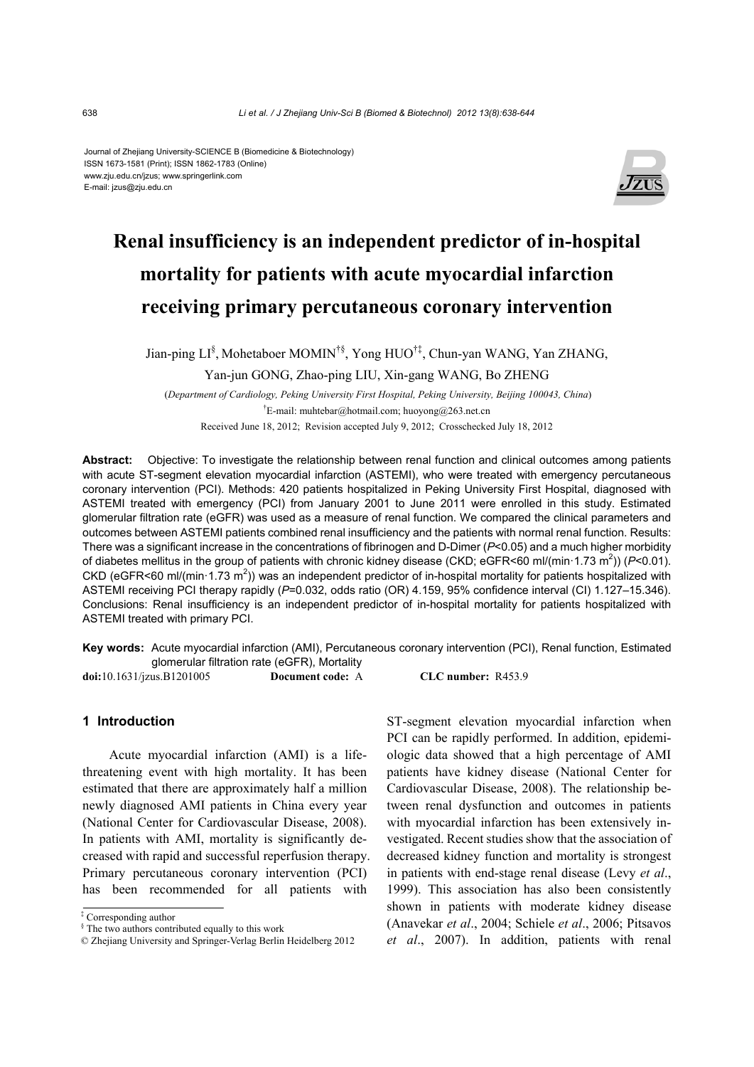#### Journal of Zhejiang University-SCIENCE B (Biomedicine & Biotechnology) ISSN 1673-1581 (Print); ISSN 1862-1783 (Online) www.zju.edu.cn/jzus; www.springerlink.com E-mail: jzus@zju.edu.cn



# **Renal insufficiency is an independent predictor of in-hospital mortality for patients with acute myocardial infarction receiving primary percutaneous coronary intervention**

Jian-ping LI§ , Mohetaboer MOMIN†§, Yong HUO†‡, Chun-yan WANG, Yan ZHANG,

Yan-jun GONG, Zhao-ping LIU, Xin-gang WANG, Bo ZHENG

 (*Department of Cardiology, Peking University First Hospital, Peking University, Beijing 100043, China*) † E-mail: muhtebar@hotmail.com; huoyong@263.net.cn Received June 18, 2012; Revision accepted July 9, 2012; Crosschecked July 18, 2012

**Abstract:** Objective: To investigate the relationship between renal function and clinical outcomes among patients with acute ST-segment elevation myocardial infarction (ASTEMI), who were treated with emergency percutaneous coronary intervention (PCI). Methods: 420 patients hospitalized in Peking University First Hospital, diagnosed with ASTEMI treated with emergency (PCI) from January 2001 to June 2011 were enrolled in this study. Estimated glomerular filtration rate (eGFR) was used as a measure of renal function. We compared the clinical parameters and outcomes between ASTEMI patients combined renal insufficiency and the patients with normal renal function. Results: There was a significant increase in the concentrations of fibrinogen and D-Dimer (*P*<0.05) and a much higher morbidity of diabetes mellitus in the group of patients with chronic kidney disease (CKD; eGFR<60 ml/(min·1.73 m<sup>2</sup> )) (*P*<0.01). CKD (eGFR<60 ml/(min·1.73 m<sup>2</sup>)) was an independent predictor of in-hospital mortality for patients hospitalized with ASTEMI receiving PCI therapy rapidly (*P*=0.032, odds ratio (OR) 4.159, 95% confidence interval (CI) 1.127–15.346). Conclusions: Renal insufficiency is an independent predictor of in-hospital mortality for patients hospitalized with ASTEMI treated with primary PCI.

**Key words:** Acute myocardial infarction (AMI), Percutaneous coronary intervention (PCI), Renal function, Estimated glomerular filtration rate (eGFR), Mortality

**doi:**10.1631/jzus.B1201005 **Document code:** A **CLC number:** R453.9

#### **1 Introduction**

Acute myocardial infarction (AMI) is a lifethreatening event with high mortality. It has been estimated that there are approximately half a million newly diagnosed AMI patients in China every year (National Center for Cardiovascular Disease, 2008). In patients with AMI, mortality is significantly decreased with rapid and successful reperfusion therapy. Primary percutaneous coronary intervention (PCI) has been recommended for all patients with

ST-segment elevation myocardial infarction when PCI can be rapidly performed. In addition, epidemiologic data showed that a high percentage of AMI patients have kidney disease (National Center for Cardiovascular Disease, 2008). The relationship between renal dysfunction and outcomes in patients with myocardial infarction has been extensively investigated. Recent studies show that the association of decreased kidney function and mortality is strongest in patients with end-stage renal disease (Levy *et al*., 1999). This association has also been consistently shown in patients with moderate kidney disease (Anavekar *et al*., 2004; Schiele *et al*., 2006; Pitsavos *et al*., 2007). In addition, patients with renal

<sup>‡</sup> Corresponding author

<sup>§</sup> The two authors contributed equally to this work

<sup>©</sup> Zhejiang University and Springer-Verlag Berlin Heidelberg 2012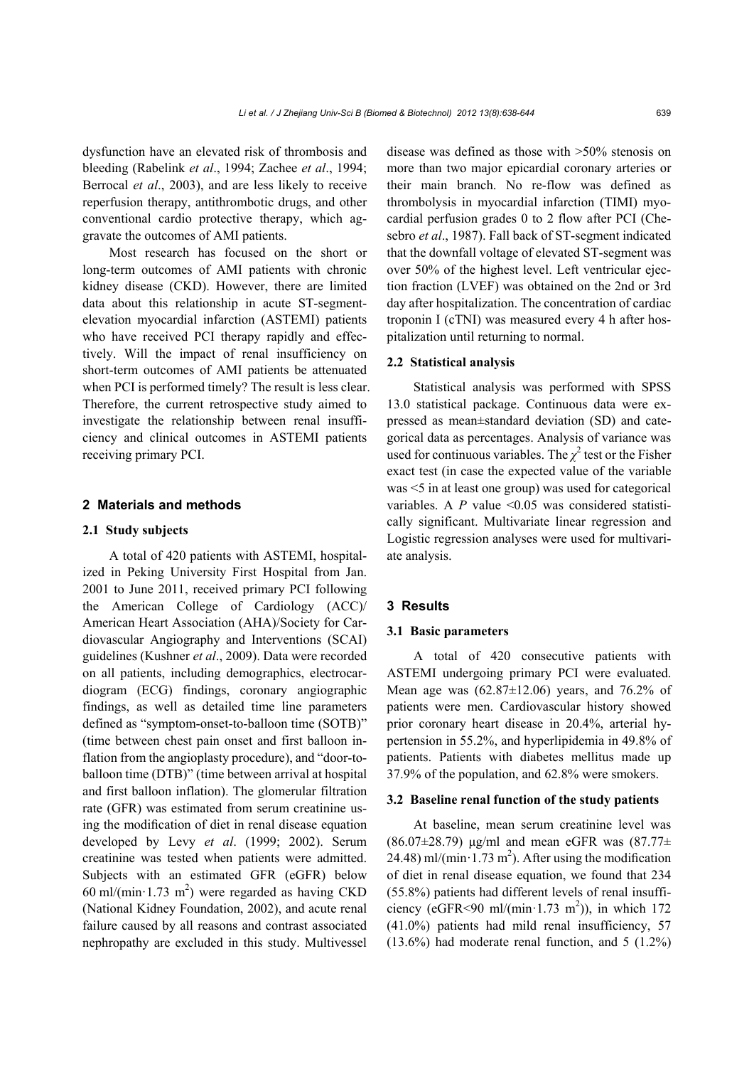dysfunction have an elevated risk of thrombosis and bleeding (Rabelink *et al*., 1994; Zachee *et al*., 1994; Berrocal *et al*., 2003), and are less likely to receive reperfusion therapy, antithrombotic drugs, and other conventional cardio protective therapy, which aggravate the outcomes of AMI patients.

Most research has focused on the short or long-term outcomes of AMI patients with chronic kidney disease (CKD). However, there are limited data about this relationship in acute ST-segmentelevation myocardial infarction (ASTEMI) patients who have received PCI therapy rapidly and effectively. Will the impact of renal insufficiency on short-term outcomes of AMI patients be attenuated when PCI is performed timely? The result is less clear. Therefore, the current retrospective study aimed to investigate the relationship between renal insufficiency and clinical outcomes in ASTEMI patients receiving primary PCI.

### **2 Materials and methods**

#### **2.1 Study subjects**

A total of 420 patients with ASTEMI, hospitalized in Peking University First Hospital from Jan. 2001 to June 2011, received primary PCI following the American College of Cardiology (ACC)/ American Heart Association (AHA)/Society for Cardiovascular Angiography and Interventions (SCAI) guidelines (Kushner *et al*., 2009). Data were recorded on all patients, including demographics, electrocardiogram (ECG) findings, coronary angiographic findings, as well as detailed time line parameters defined as "symptom-onset-to-balloon time (SOTB)" (time between chest pain onset and first balloon inflation from the angioplasty procedure), and "door-toballoon time (DTB)" (time between arrival at hospital and first balloon inflation). The glomerular filtration rate (GFR) was estimated from serum creatinine using the modification of diet in renal disease equation developed by Levy *et al*. (1999; 2002). Serum creatinine was tested when patients were admitted. Subjects with an estimated GFR (eGFR) below  $60$  ml/(min·1.73 m<sup>2</sup>) were regarded as having CKD (National Kidney Foundation, 2002), and acute renal failure caused by all reasons and contrast associated nephropathy are excluded in this study. Multivessel

disease was defined as those with >50% stenosis on more than two major epicardial coronary arteries or their main branch. No re-flow was defined as thrombolysis in myocardial infarction (TIMI) myocardial perfusion grades 0 to 2 flow after PCI (Chesebro *et al*., 1987). Fall back of ST-segment indicated that the downfall voltage of elevated ST-segment was over 50% of the highest level. Left ventricular ejection fraction (LVEF) was obtained on the 2nd or 3rd day after hospitalization. The concentration of cardiac troponin I (cTNI) was measured every 4 h after hospitalization until returning to normal.

#### **2.2 Statistical analysis**

Statistical analysis was performed with SPSS 13.0 statistical package. Continuous data were expressed as mean±standard deviation (SD) and categorical data as percentages. Analysis of variance was used for continuous variables. The  $\chi^2$  test or the Fisher exact test (in case the expected value of the variable was <5 in at least one group) was used for categorical variables. A *P* value <0.05 was considered statistically significant. Multivariate linear regression and Logistic regression analyses were used for multivariate analysis.

# **3 Results**

### **3.1 Basic parameters**

A total of 420 consecutive patients with ASTEMI undergoing primary PCI were evaluated. Mean age was  $(62.87 \pm 12.06)$  years, and 76.2% of patients were men. Cardiovascular history showed prior coronary heart disease in 20.4%, arterial hypertension in 55.2%, and hyperlipidemia in 49.8% of patients. Patients with diabetes mellitus made up 37.9% of the population, and 62.8% were smokers.

#### **3.2 Baseline renal function of the study patients**

At baseline, mean serum creatinine level was (86.07 $\pm$ 28.79) μg/ml and mean eGFR was (87.77 $\pm$ 24.48) ml/(min·1.73 m<sup>2</sup>). After using the modification of diet in renal disease equation, we found that 234 (55.8%) patients had different levels of renal insufficiency (eGFR<90 ml/(min·1.73 m<sup>2</sup>)), in which 172 (41.0%) patients had mild renal insufficiency, 57  $(13.6\%)$  had moderate renal function, and 5  $(1.2\%)$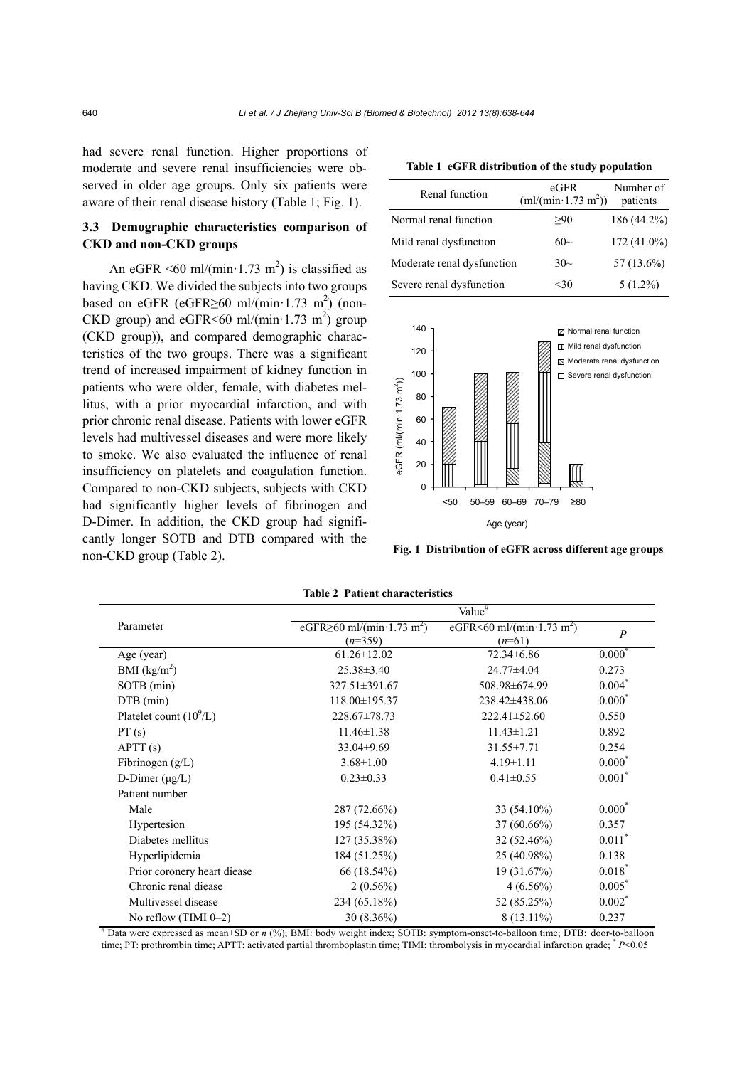had severe renal function. Higher proportions of moderate and severe renal insufficiencies were observed in older age groups. Only six patients were aware of their renal disease history (Table 1; Fig. 1).

# **3.3 Demographic characteristics comparison of CKD and non-CKD groups**

An eGFR  $\leq 60$  ml/(min·1.73 m<sup>2</sup>) is classified as having CKD. We divided the subjects into two groups based on eGFR (eGFR≥60 ml/(min·1.73 m<sup>2</sup>) (non-CKD group) and eGFR<60 ml/(min $\cdot$ 1.73 m<sup>2</sup>) group (CKD group)), and compared demographic characteristics of the two groups. There was a significant trend of increased impairment of kidney function in patients who were older, female, with diabetes mellitus, with a prior myocardial infarction, and with prior chronic renal disease. Patients with lower eGFR levels had multivessel diseases and were more likely to smoke. We also evaluated the influence of renal insufficiency on platelets and coagulation function. Compared to non-CKD subjects, subjects with CKD had significantly higher levels of fibrinogen and D-Dimer. In addition, the CKD group had significantly longer SOTB and DTB compared with the non-CKD group (Table 2).

**Table 1 eGFR distribution of the study population** 

| Renal function             | eGFR<br>$(ml/(min \cdot 1.73 m^2))$ | Number of<br>patients |
|----------------------------|-------------------------------------|-----------------------|
| Normal renal function      | >90                                 | 186 (44.2%)           |
| Mild renal dysfunction     | $60-$                               | $172(41.0\%)$         |
| Moderate renal dysfunction | $30-$                               | 57 (13.6%)            |
| Severe renal dysfunction   | $<$ 30                              | $5(1.2\%)$            |



**Fig. 1 Distribution of eGFR across different age groups** 

|                             | Value <sup>#</sup>                                        |                                                   |                      |
|-----------------------------|-----------------------------------------------------------|---------------------------------------------------|----------------------|
| Parameter                   | eGFR $\geq$ 60 ml/(min·1.73 m <sup>2</sup> )<br>$(n=359)$ | eGFR<60 ml/(min 1.73 m <sup>2</sup> )<br>$(n=61)$ | $\overline{P}$       |
| Age (year)                  | $61.26 \pm 12.02$                                         | $72.34\pm 6.86$                                   | $0.000^{\circ}$      |
| BMI $(kg/m2)$               | $25.38 \pm 3.40$                                          | 24.77±4.04                                        | 0.273                |
| SOTB (min)                  | 327.51±391.67                                             | 508.98±674.99                                     | $0.004*$             |
| $DTB$ (min)                 | 118.00±195.37                                             | 238.42±438.06                                     | $0.000*$             |
| Platelet count $(10^9/L)$   | 228.67±78.73                                              | $222.41 \pm 52.60$                                | 0.550                |
| PT(s)                       | $11.46 \pm 1.38$                                          | $11.43 \pm 1.21$                                  | 0.892                |
| APTT(s)                     | 33.04±9.69                                                | $31.55 \pm 7.71$                                  | 0.254                |
| Fibrinogen $(g/L)$          | $3.68 \pm 1.00$                                           | $4.19 \pm 1.11$                                   | $0.000*$             |
| D-Dimer $(\mu g/L)$         | $0.23 \pm 0.33$                                           | $0.41 \pm 0.55$                                   | $0.001*$             |
| Patient number              |                                                           |                                                   |                      |
| Male                        | 287 (72.66%)                                              | 33 (54.10%)                                       | $0.000*$             |
| Hypertesion                 | 195 (54.32%)                                              | $37(60.66\%)$                                     | 0.357                |
| Diabetes mellitus           | $127(35.38\%)$                                            | 32 (52.46%)                                       | $0.011$ <sup>*</sup> |
| Hyperlipidemia              | 184 (51.25%)                                              | 25 (40.98%)                                       | 0.138                |
| Prior coronery heart diease | 66 (18.54%)                                               | 19 (31.67%)                                       | $0.018*$             |
| Chronic renal diease        | $2(0.56\%)$                                               | $4(6.56\%)$                                       | $0.005*$             |
| Multivessel disease         | 234 (65.18%)                                              | 52 (85.25%)                                       | $0.002*$             |
| No reflow (TIMI $0-2$ )     | $30(8.36\%)$                                              | $8(13.11\%)$                                      | 0.237                |

**Table 2 Patient characteristics** 

time; PT: prothrombin time; APTT: activated partial thromboplastin time; TIMI: thrombolysis in myocardial infarction grade; \* *P*<0.05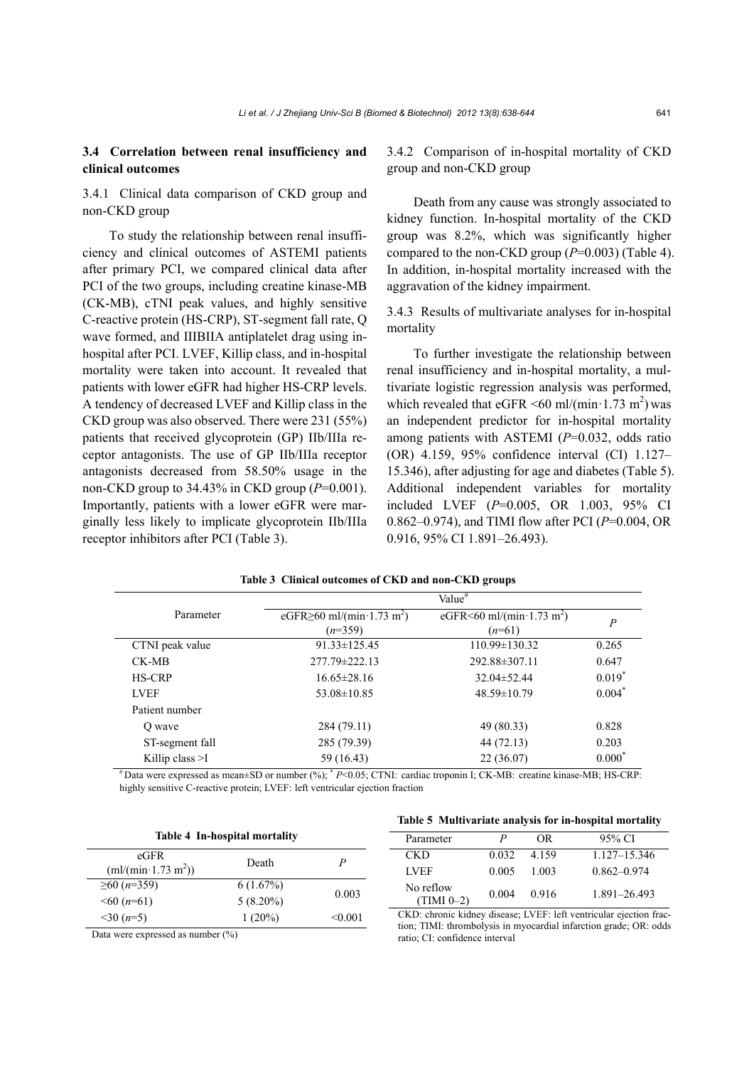# **3.4 Correlation between renal insufficiency and clinical outcomes**

3.4.1 Clinical data comparison of CKD group and non-CKD group

To study the relationship between renal insufficiency and clinical outcomes of ASTEMI patients after primary PCI, we compared clinical data after PCI of the two groups, including creatine kinase-MB (CK-MB), cTNI peak values, and highly sensitive C-reactive protein (HS-CRP), ST-segment fall rate, Q wave formed, and IIIBIIA antiplatelet drag using inhospital after PCI. LVEF, Killip class, and in-hospital mortality were taken into account. It revealed that patients with lower eGFR had higher HS-CRP levels. A tendency of decreased LVEF and Killip class in the CKD group was also observed. There were 231 (55%) patients that received glycoprotein (GP) IIb/IIIa receptor antagonists. The use of GP IIb/IIIa receptor antagonists decreased from 58.50% usage in the non-CKD group to 34.43% in CKD group (*P*=0.001). Importantly, patients with a lower eGFR were marginally less likely to implicate glycoprotein IIb/IIIa receptor inhibitors after PCI (Table 3).

3.4.2 Comparison of in-hospital mortality of CKD group and non-CKD group

Death from any cause was strongly associated to kidney function. In-hospital mortality of the CKD group was 8.2%, which was significantly higher compared to the non-CKD group (*P*=0.003) (Table 4). In addition, in-hospital mortality increased with the aggravation of the kidney impairment.

3.4.3 Results of multivariate analyses for in-hospital mortality

To further investigate the relationship between renal insufficiency and in-hospital mortality, a multivariate logistic regression analysis was performed, which revealed that eGFR  $\leq 60$  ml/(min·1.73 m<sup>2</sup>) was an independent predictor for in-hospital mortality among patients with ASTEMI (*P*=0.032, odds ratio (OR) 4.159, 95% confidence interval (CI) 1.127– 15.346), after adjusting for age and diabetes (Table 5). Additional independent variables for mortality included LVEF (*P*=0.005, OR 1.003, 95% CI 0.862–0.974), and TIMI flow after PCI (*P*=0.004, OR 0.916, 95% CI 1.891–26.493).

|  |                   | Value $\overline{f}$                         |                                         |                  |
|--|-------------------|----------------------------------------------|-----------------------------------------|------------------|
|  | Parameter         | eGFR $\geq$ 60 ml/(min·1.73 m <sup>2</sup> ) | eGFR<60 ml/(min $1.73$ m <sup>2</sup> ) | $\boldsymbol{P}$ |
|  |                   | $(n=359)$                                    | $(n=61)$                                |                  |
|  | CTNI peak value   | $91.33 \pm 125.45$                           | $110.99 \pm 130.32$                     | 0.265            |
|  | CK-MB             | 277.79 ± 222.13                              | 292.88±307.11                           | 0.647            |
|  | <b>HS-CRP</b>     | $16.65 \pm 28.16$                            | $32.04 \pm 52.44$                       | $0.019*$         |
|  | <b>LVEF</b>       | $53.08 \pm 10.85$                            | $48.59 \pm 10.79$                       | $0.004*$         |
|  | Patient number    |                                              |                                         |                  |
|  | O wave            | 284 (79.11)                                  | 49 (80.33)                              | 0.828            |
|  | ST-segment fall   | 285 (79.39)                                  | 44 (72.13)                              | 0.203            |
|  | Killip class $>1$ | 59 (16.43)                                   | 22(36.07)                               | $0.000*$         |
|  |                   |                                              |                                         |                  |

**Table 3 Clinical outcomes of CKD and non-CKD groups** 

# Data were expressed as mean±SD or number (%); \* *P*<0.05; CTNI: cardiac troponin I; CK-MB: creatine kinase-MB; HS-CRP: highly sensitive C-reactive protein; LVEF: left ventricular ejection fraction

| <b>Table 4 In-hospital mortality</b>        |             |         |  |
|---------------------------------------------|-------------|---------|--|
| eGFR<br>$(ml/(min \cdot 1.73 \text{ m}^2))$ | Death       | Ρ       |  |
| $\geq 60$ (n=359)                           | $6(1.67\%)$ | 0.003   |  |
| $\leq 60$ ( <i>n</i> =61)                   | $5(8.20\%)$ |         |  |
| $\leq 30 (n=5)$                             | $1(20\%)$   | < 0.001 |  |

**Table 5 Multivariate analysis for in-hospital mortality**

| Parameter                 |       | OR.     | 95% CI          |  |
|---------------------------|-------|---------|-----------------|--|
| <b>CKD</b>                | 0.032 | 4 1 5 9 | 1.127-15.346    |  |
| <b>LVEF</b>               | 0.005 | 1.003   | $0.862 - 0.974$ |  |
| No reflow<br>$(TIMI 0-2)$ | 0.004 | 0.916   | 1.891-26.493    |  |

Data were expressed as number (%)

CKD: chronic kidney disease; LVEF: left ventricular ejection fraction; TIMI: thrombolysis in myocardial infarction grade; OR: odds ratio; CI: confidence interval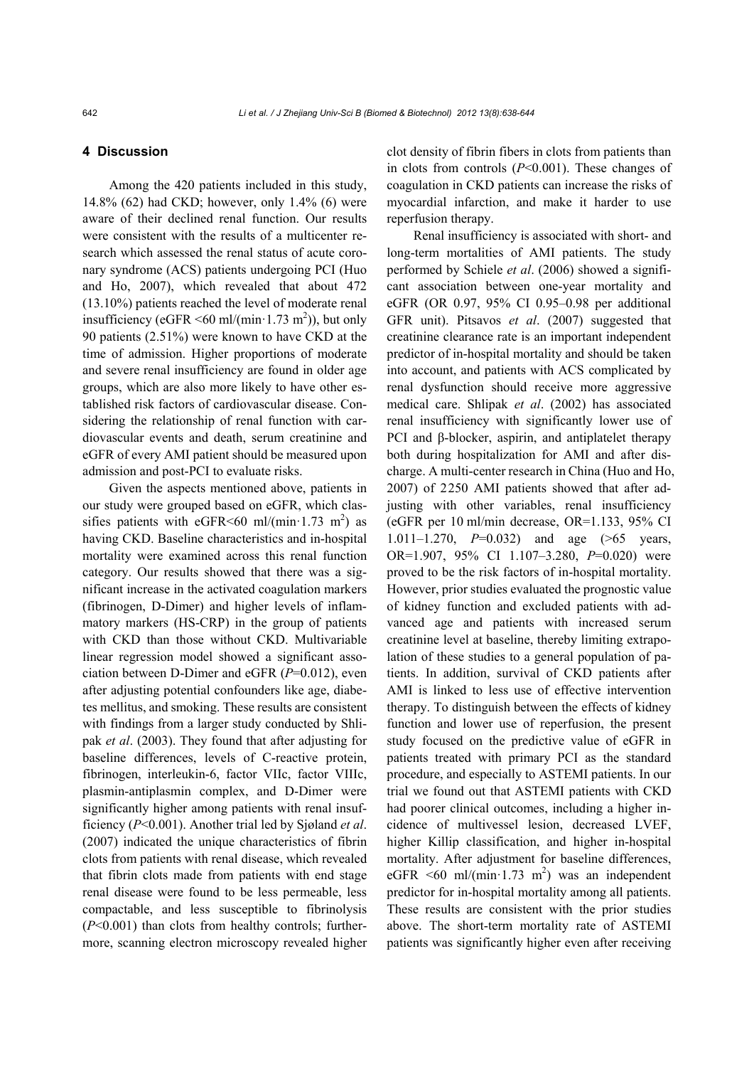# **4 Discussion**

Among the 420 patients included in this study, 14.8% (62) had CKD; however, only 1.4% (6) were aware of their declined renal function. Our results were consistent with the results of a multicenter research which assessed the renal status of acute coronary syndrome (ACS) patients undergoing PCI (Huo and Ho, 2007), which revealed that about 472 (13.10%) patients reached the level of moderate renal insufficiency (eGFR  $\leq 60$  ml/(min·1.73 m<sup>2</sup>)), but only 90 patients (2.51%) were known to have CKD at the time of admission. Higher proportions of moderate and severe renal insufficiency are found in older age groups, which are also more likely to have other established risk factors of cardiovascular disease. Considering the relationship of renal function with cardiovascular events and death, serum creatinine and eGFR of every AMI patient should be measured upon admission and post-PCI to evaluate risks.

Given the aspects mentioned above, patients in our study were grouped based on eGFR, which classifies patients with eGFR<60 ml/(min·1.73 m<sup>2</sup>) as having CKD. Baseline characteristics and in-hospital mortality were examined across this renal function category. Our results showed that there was a significant increase in the activated coagulation markers (fibrinogen, D-Dimer) and higher levels of inflammatory markers (HS-CRP) in the group of patients with CKD than those without CKD. Multivariable linear regression model showed a significant association between D-Dimer and eGFR (*P*=0.012), even after adjusting potential confounders like age, diabetes mellitus, and smoking. These results are consistent with findings from a larger study conducted by Shlipak *et al*. (2003). They found that after adjusting for baseline differences, levels of C-reactive protein, fibrinogen, interleukin-6, factor VIIc, factor VIIIc, plasmin-antiplasmin complex, and D-Dimer were significantly higher among patients with renal insufficiency (*P*<0.001). Another trial led by Sjøland *et al*. (2007) indicated the unique characteristics of fibrin clots from patients with renal disease, which revealed that fibrin clots made from patients with end stage renal disease were found to be less permeable, less compactable, and less susceptible to fibrinolysis (*P*<0.001) than clots from healthy controls; furthermore, scanning electron microscopy revealed higher

clot density of fibrin fibers in clots from patients than in clots from controls (*P*<0.001). These changes of coagulation in CKD patients can increase the risks of myocardial infarction, and make it harder to use reperfusion therapy.

Renal insufficiency is associated with short- and long-term mortalities of AMI patients. The study performed by Schiele *et al*. (2006) showed a significant association between one-year mortality and eGFR (OR 0.97, 95% CI 0.95–0.98 per additional GFR unit). Pitsavos *et al*. (2007) suggested that creatinine clearance rate is an important independent predictor of in-hospital mortality and should be taken into account, and patients with ACS complicated by renal dysfunction should receive more aggressive medical care. Shlipak *et al*. (2002) has associated renal insufficiency with significantly lower use of PCI and β-blocker, aspirin, and antiplatelet therapy both during hospitalization for AMI and after discharge. A multi-center research in China (Huo and Ho, 2007) of 2250 AMI patients showed that after adjusting with other variables, renal insufficiency (eGFR per 10 ml/min decrease, OR=1.133, 95% CI 1.011–1.270, *P*=0.032) and age (>65 years, OR=1.907, 95% CI 1.107–3.280, *P*=0.020) were proved to be the risk factors of in-hospital mortality. However, prior studies evaluated the prognostic value of kidney function and excluded patients with advanced age and patients with increased serum creatinine level at baseline, thereby limiting extrapolation of these studies to a general population of patients. In addition, survival of CKD patients after AMI is linked to less use of effective intervention therapy. To distinguish between the effects of kidney function and lower use of reperfusion, the present study focused on the predictive value of eGFR in patients treated with primary PCI as the standard procedure, and especially to ASTEMI patients. In our trial we found out that ASTEMI patients with CKD had poorer clinical outcomes, including a higher incidence of multivessel lesion, decreased LVEF, higher Killip classification, and higher in-hospital mortality. After adjustment for baseline differences, eGFR  $\leq 60$  ml/(min·1.73 m<sup>2</sup>) was an independent predictor for in-hospital mortality among all patients. These results are consistent with the prior studies above. The short-term mortality rate of ASTEMI patients was significantly higher even after receiving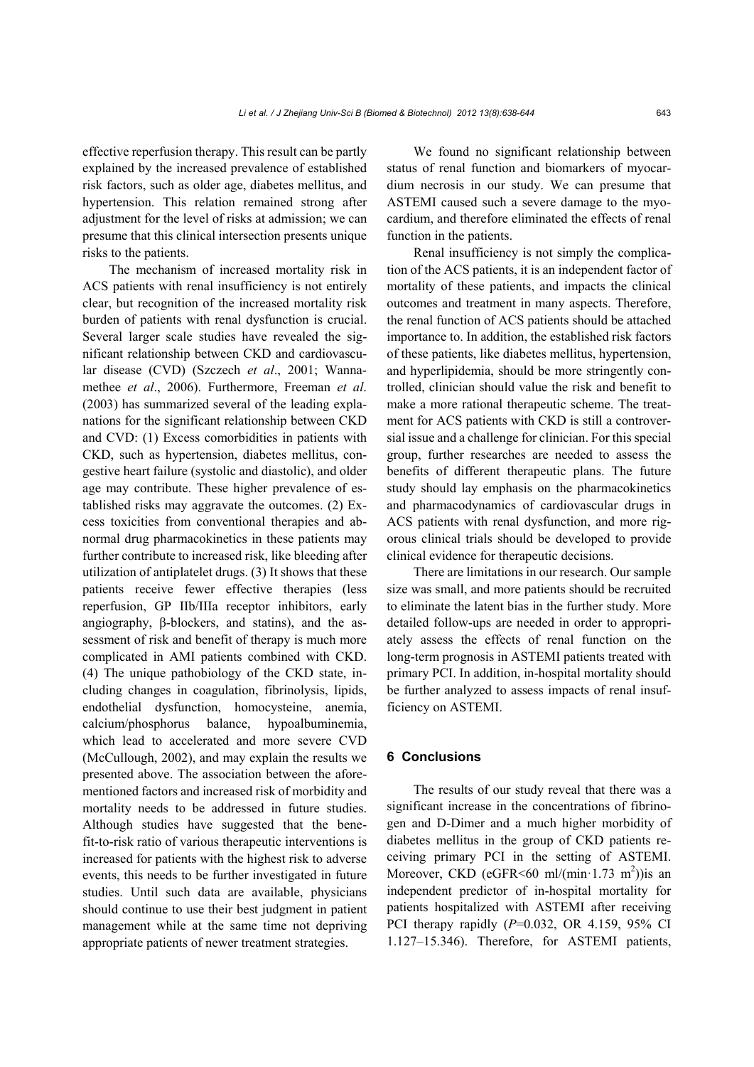effective reperfusion therapy. This result can be partly explained by the increased prevalence of established risk factors, such as older age, diabetes mellitus, and hypertension. This relation remained strong after adjustment for the level of risks at admission; we can presume that this clinical intersection presents unique risks to the patients.

The mechanism of increased mortality risk in ACS patients with renal insufficiency is not entirely clear, but recognition of the increased mortality risk burden of patients with renal dysfunction is crucial. Several larger scale studies have revealed the significant relationship between CKD and cardiovascular disease (CVD) (Szczech *et al*., 2001; Wannamethee *et al*., 2006). Furthermore, Freeman *et al*. (2003) has summarized several of the leading explanations for the significant relationship between CKD and CVD: (1) Excess comorbidities in patients with CKD, such as hypertension, diabetes mellitus, congestive heart failure (systolic and diastolic), and older age may contribute. These higher prevalence of established risks may aggravate the outcomes. (2) Excess toxicities from conventional therapies and abnormal drug pharmacokinetics in these patients may further contribute to increased risk, like bleeding after utilization of antiplatelet drugs. (3) It shows that these patients receive fewer effective therapies (less reperfusion, GP IIb/IIIa receptor inhibitors, early angiography, β-blockers, and statins), and the assessment of risk and benefit of therapy is much more complicated in AMI patients combined with CKD. (4) The unique pathobiology of the CKD state, including changes in coagulation, fibrinolysis, lipids, endothelial dysfunction, homocysteine, anemia, calcium/phosphorus balance, hypoalbuminemia, which lead to accelerated and more severe CVD (McCullough, 2002), and may explain the results we presented above. The association between the aforementioned factors and increased risk of morbidity and mortality needs to be addressed in future studies. Although studies have suggested that the benefit-to-risk ratio of various therapeutic interventions is increased for patients with the highest risk to adverse events, this needs to be further investigated in future studies. Until such data are available, physicians should continue to use their best judgment in patient management while at the same time not depriving appropriate patients of newer treatment strategies.

We found no significant relationship between status of renal function and biomarkers of myocardium necrosis in our study. We can presume that ASTEMI caused such a severe damage to the myocardium, and therefore eliminated the effects of renal function in the patients.

Renal insufficiency is not simply the complication of the ACS patients, it is an independent factor of mortality of these patients, and impacts the clinical outcomes and treatment in many aspects. Therefore, the renal function of ACS patients should be attached importance to. In addition, the established risk factors of these patients, like diabetes mellitus, hypertension, and hyperlipidemia, should be more stringently controlled, clinician should value the risk and benefit to make a more rational therapeutic scheme. The treatment for ACS patients with CKD is still a controversial issue and a challenge for clinician. For this special group, further researches are needed to assess the benefits of different therapeutic plans. The future study should lay emphasis on the pharmacokinetics and pharmacodynamics of cardiovascular drugs in ACS patients with renal dysfunction, and more rigorous clinical trials should be developed to provide clinical evidence for therapeutic decisions.

There are limitations in our research. Our sample size was small, and more patients should be recruited to eliminate the latent bias in the further study. More detailed follow-ups are needed in order to appropriately assess the effects of renal function on the long-term prognosis in ASTEMI patients treated with primary PCI. In addition, in-hospital mortality should be further analyzed to assess impacts of renal insufficiency on ASTEMI.

# **6 Conclusions**

The results of our study reveal that there was a significant increase in the concentrations of fibrinogen and D-Dimer and a much higher morbidity of diabetes mellitus in the group of CKD patients receiving primary PCI in the setting of ASTEMI. Moreover, CKD (eGFR<60 ml/(min·1.73 m<sup>2</sup>)) is an independent predictor of in-hospital mortality for patients hospitalized with ASTEMI after receiving PCI therapy rapidly (*P*=0.032, OR 4.159, 95% CI 1.127–15.346). Therefore, for ASTEMI patients,